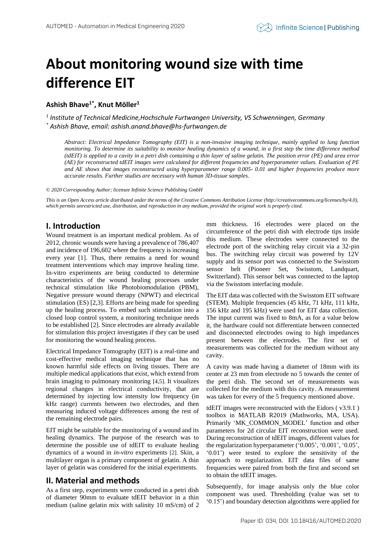# **About monitoring wound size with time difference EIT**

**Ashish Bhave1\* , Knut Möller<sup>1</sup>**

*1 Institute of Technical Medicine,Hochschule Furtwangen University, VS Schwenningen, Germany \* Ashish Bhave, email: ashish.anand.bhave@hs-furtwangen.de*

*Abstract: Electrical Impedance Tomography (EIT) is a non-invasive imaging technique, mainly applied to lung function monitoring. To determine its suitability to monitor healing dynamics of a wound, in a first step the time difference method (tdEIT) is applied to a cavity in a petri dish containing a thin layer of saline gelatin. The position error (PE) and area error (AE) for reconstructed tdEIT images were calculated for different frequencies and hyperparameter values. Evaluation of PE and AE shows that images reconstructed using hyperparameter range 0.005- 0.01 and higher frequencies produce more accurate results. Further studies are necessary with human 3D-tissue samples.*

*© 2020 Corresponding Author; licensee Infinite Science Publishing GmbH*

*This is an Open Access article distributed under the terms of the Creative Commons Attribution License (http://creativecommons.org/licenses/by/4.0),*  which permits unrestricted use, distribution, and reproduction in any medium, provided the original work is properly cited.

# **I. Introduction**

Wound treatment is an important medical problem. As of 2012, chronic wounds were having a prevalence of 786,407 and incidence of 196,602 where the frequency is increasing every year [1]. Thus, there remains a need for wound treatment interventions which may improve healing time. In-vitro experiments are being conducted to determine characteristics of the wound healing processes under technical stimulation like Photobiomodulation (PBM), Negative pressure wound therapy (NPWT) and electrical stimulation (ES) [2,3]. Efforts are being made for speeding up the healing process. To embed such stimulation into a closed loop control system, a monitoring technique needs to be established [2]. Since electrodes are already available for stimulation this project investigates if they can be used for monitoring the wound healing process.

Electrical Impedance Tomography (EIT) is a real-time and cost-effective medical imaging technique that has no known harmful side effects on living tissues. There are multiple medical applications that exist, which extend from brain imaging to pulmonary monitoring [4,5]. It visualizes regional changes in electrical conductivity, that are determined by injecting low intensity low frequency (in kHz range) currents between two electrodes, and then measuring induced voltage differences among the rest of the remaining electrode pairs.

EIT might be suitable for the monitoring of a wound and its healing dynamics. The purpose of the research was to determine the possible use of tdEIT to evaluate healing dynamics of a wound in *in-vitro* experiments [2]. Skin, a multilayer organ is a primary component of gelatin. A thin layer of gelatin was considered for the initial experiments.

## **II. Material and methods**

As a first step, experiments were conducted in a petri dish of diameter 90mm to evaluate tdEIT behavior in a thin medium (saline gelatin mix with salinity 10 mS/cm) of 2 mm thickness. 16 electrodes were placed on the circumference of the petri dish with electrode tips inside this medium. These electrodes were connected to the electrode port of the switching relay circuit via a 32-pin bus. The switching relay circuit was powered by 12V supply and its sensor port was connected to the Swisstom sensor belt (Pioneer Set, Swisstom, Landquart, Switzerland). This sensor belt was connected to the laptop via the Swisstom interfacing module.

The EIT data was collected with the Swisstom EIT software (STEM). Multiple frequencies (45 kHz, 71 kHz, 111 kHz, 156 kHz and 195 kHz) were used for EIT data collection. The input current was fixed to 8mA, as for a value below it, the hardware could not differentiate between connected and disconnected electrodes owing to high impedances present between the electrodes. The first set of measurements was collected for the medium without any cavity.

A cavity was made having a diameter of 18mm with its center at 23 mm from electrode no 5 towards the center of the petri dish. The second set of measurements was collected for the medium with this cavity. A measurement was taken for every of the 5 frequency mentioned above.

tdEIT images were reconstructed with the Eidors ( v3.9.1 ) toolbox in MATLAB R2019 (Mathworks, MA, USA). Primarily 'MK\_COMMON\_MODEL' function and other parameters for 2d circular EIT reconstruction were used. During reconstruction of tdEIT images, different values for the regularization hyperparameter ('0.005', '0.001', '0.05', '0.01') were tested to explore the sensitivity of the approach to regularization. EIT data files of same frequencies were paired from both the first and second set to obtain the tdEIT images.

Subsequently, for image analysis only the blue color component was used. Thresholding (value was set to '0.15') and boundary detection algorithms were applied for